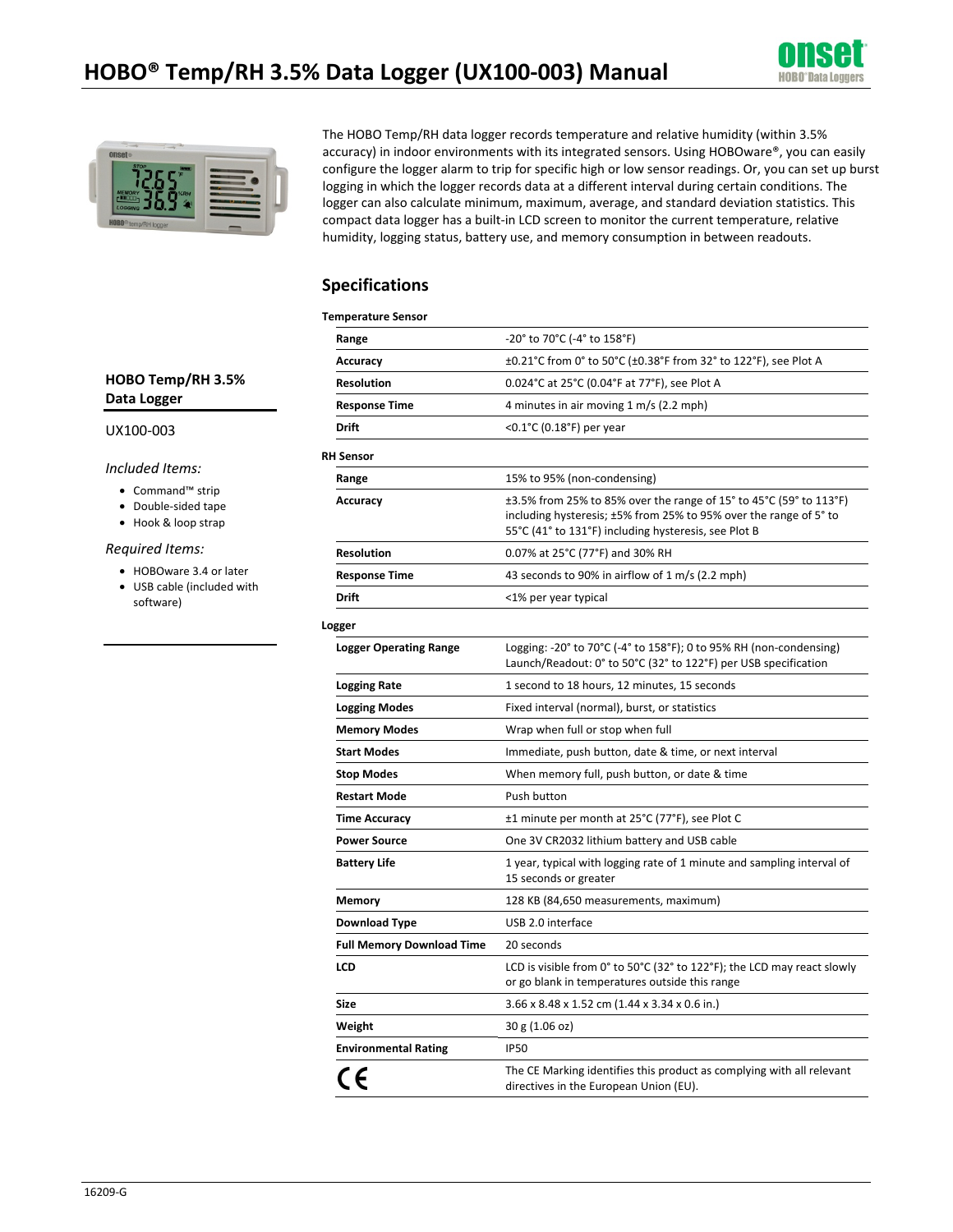



The HOBO Temp/RH data logger records temperature and relative humidity (within 3.5% accuracy) in indoor environments with its integrated sensors. Using HOBOware®, you can easily configure the logger alarm to trip for specific high or low sensor readings. Or, you can set up burst logging in which the logger records data at a different interval during certain conditions. The logger can also calculate minimum, maximum, average, and standard deviation statistics. This compact data logger has a built-in LCD screen to monitor the current temperature, relative humidity, logging status, battery use, and memory consumption in between readouts.

### **Specifications**

| <b>Temperature Sensor</b>        |                                                                                                                                                                                                 |  |  |
|----------------------------------|-------------------------------------------------------------------------------------------------------------------------------------------------------------------------------------------------|--|--|
| Range                            | -20° to 70°C (-4° to 158°F)                                                                                                                                                                     |  |  |
| Accuracy                         | ±0.21°C from 0° to 50°C (±0.38°F from 32° to 122°F), see Plot A                                                                                                                                 |  |  |
| <b>Resolution</b>                | 0.024°C at 25°C (0.04°F at 77°F), see Plot A                                                                                                                                                    |  |  |
| <b>Response Time</b>             | 4 minutes in air moving 1 m/s (2.2 mph)                                                                                                                                                         |  |  |
| <b>Drift</b>                     | <0.1°C (0.18°F) per year                                                                                                                                                                        |  |  |
| <b>RH Sensor</b>                 |                                                                                                                                                                                                 |  |  |
| Range                            | 15% to 95% (non-condensing)                                                                                                                                                                     |  |  |
| Accuracy                         | ±3.5% from 25% to 85% over the range of 15° to 45°C (59° to 113°F)<br>including hysteresis; ±5% from 25% to 95% over the range of 5° to<br>55°C (41° to 131°F) including hysteresis, see Plot B |  |  |
| <b>Resolution</b>                | 0.07% at 25°C (77°F) and 30% RH                                                                                                                                                                 |  |  |
| <b>Response Time</b>             | 43 seconds to 90% in airflow of 1 m/s (2.2 mph)                                                                                                                                                 |  |  |
| Drift                            | <1% per year typical                                                                                                                                                                            |  |  |
| Logger                           |                                                                                                                                                                                                 |  |  |
| <b>Logger Operating Range</b>    | Logging: -20° to 70°C (-4° to 158°F); 0 to 95% RH (non-condensing)<br>Launch/Readout: 0° to 50°C (32° to 122°F) per USB specification                                                           |  |  |
| <b>Logging Rate</b>              | 1 second to 18 hours, 12 minutes, 15 seconds                                                                                                                                                    |  |  |
| <b>Logging Modes</b>             | Fixed interval (normal), burst, or statistics                                                                                                                                                   |  |  |
| <b>Memory Modes</b>              | Wrap when full or stop when full                                                                                                                                                                |  |  |
| <b>Start Modes</b>               | Immediate, push button, date & time, or next interval                                                                                                                                           |  |  |
| <b>Stop Modes</b>                | When memory full, push button, or date & time                                                                                                                                                   |  |  |
| <b>Restart Mode</b>              | Push button                                                                                                                                                                                     |  |  |
| <b>Time Accuracy</b>             | ±1 minute per month at 25°C (77°F), see Plot C                                                                                                                                                  |  |  |
| <b>Power Source</b>              | One 3V CR2032 lithium battery and USB cable                                                                                                                                                     |  |  |
| <b>Battery Life</b>              | 1 year, typical with logging rate of 1 minute and sampling interval of<br>15 seconds or greater                                                                                                 |  |  |
| <b>Memory</b>                    | 128 KB (84,650 measurements, maximum)                                                                                                                                                           |  |  |
| <b>Download Type</b>             | USB 2.0 interface                                                                                                                                                                               |  |  |
| <b>Full Memory Download Time</b> | 20 seconds                                                                                                                                                                                      |  |  |
| <b>LCD</b>                       | LCD is visible from 0° to 50°C (32° to 122°F); the LCD may react slowly<br>or go blank in temperatures outside this range                                                                       |  |  |
| <b>Size</b>                      | 3.66 x 8.48 x 1.52 cm (1.44 x 3.34 x 0.6 in.)                                                                                                                                                   |  |  |
| Weight                           | 30 g (1.06 oz)                                                                                                                                                                                  |  |  |
| <b>Environmental Rating</b>      | <b>IP50</b>                                                                                                                                                                                     |  |  |
| CE                               | The CE Marking identifies this product as complying with all relevant<br>directives in the European Union (EU).                                                                                 |  |  |

### **HOBO Temp/RH 3.5% Data Logger**

#### UX100-003

*Included Items:* 

- Command™ strip
- Double-sided tape
- Hook & loop strap

#### *Required Items:*

- HOBOware 3.4 or later
- USB cable (included with software)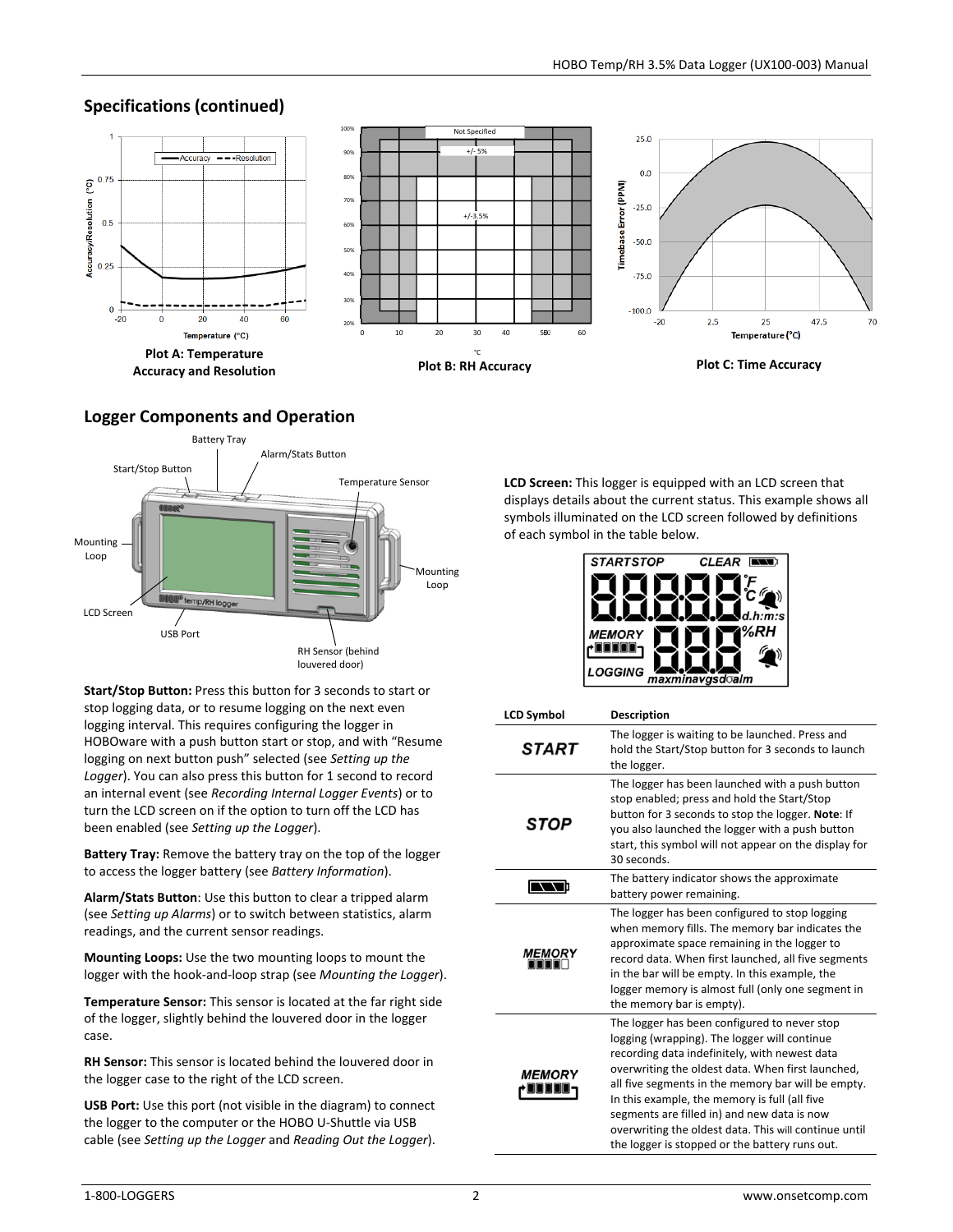# **Specifications (continued)**



# **Logger Components and Operation**



**Start/Stop Button:** Press this button for 3 seconds to start or stop logging data, or to resume logging on the next even logging interval. This requires configuring the logger in HOBOware with a push button start or stop, and with "Resume logging on next button push" selected (see *Setting up the*  Logger). You can also press this button for 1 second to record an internal event (see *Recording Internal Logger Events*) or to turn the LCD screen on if the option to turn off the LCD has been enabled (see *Setting up the Logger*).

**Battery Tray:** Remove the battery tray on the top of the logger to access the logger battery (see *Battery Information*).

**Alarm/Stats Button**: Use this button to clear a tripped alarm (see *Setting up Alarms*) or to switch between statistics, alarm readings, and the current sensor readings.

**Mounting Loops:** Use the two mounting loops to mount the logger with the hook-and-loop strap (see *Mounting the Logger*).

**Temperature Sensor:** This sensor is located at the far right side of the logger, slightly behind the louvered door in the logger case.

**RH Sensor:** This sensor is located behind the louvered door in the logger case to the right of the LCD screen.

**USB Port:** Use this port (not visible in the diagram) to connect the logger to the computer or the HOBO U-Shuttle via USB cable (see *Setting up the Logger* and *Reading Out the Logger*).

**LCD Screen:** This logger is equipped with an LCD screen that displays details about the current status. This example shows all symbols illuminated on the LCD screen followed by definitions of each symbol in the table below.



| <b>LCD Symbol</b>    | <b>Description</b>                                                                                                                                                                                                                                                                                                                                                                                                                                                  |
|----------------------|---------------------------------------------------------------------------------------------------------------------------------------------------------------------------------------------------------------------------------------------------------------------------------------------------------------------------------------------------------------------------------------------------------------------------------------------------------------------|
| START                | The logger is waiting to be launched. Press and<br>hold the Start/Stop button for 3 seconds to launch<br>the logger.                                                                                                                                                                                                                                                                                                                                                |
| STOP                 | The logger has been launched with a push button<br>stop enabled; press and hold the Start/Stop<br>button for 3 seconds to stop the logger. Note: If<br>you also launched the logger with a push button<br>start, this symbol will not appear on the display for<br>30 seconds.                                                                                                                                                                                      |
|                      | The battery indicator shows the approximate<br>battery power remaining.                                                                                                                                                                                                                                                                                                                                                                                             |
| <b>MEMORY</b>        | The logger has been configured to stop logging<br>when memory fills. The memory bar indicates the<br>approximate space remaining in the logger to<br>record data. When first launched, all five segments<br>in the bar will be empty. In this example, the<br>logger memory is almost full (only one segment in<br>the memory bar is empty).                                                                                                                        |
| <i><b>MEMORY</b></i> | The logger has been configured to never stop<br>logging (wrapping). The logger will continue<br>recording data indefinitely, with newest data<br>overwriting the oldest data. When first launched,<br>all five segments in the memory bar will be empty.<br>In this example, the memory is full (all five<br>segments are filled in) and new data is now<br>overwriting the oldest data. This will continue until<br>the logger is stopped or the battery runs out. |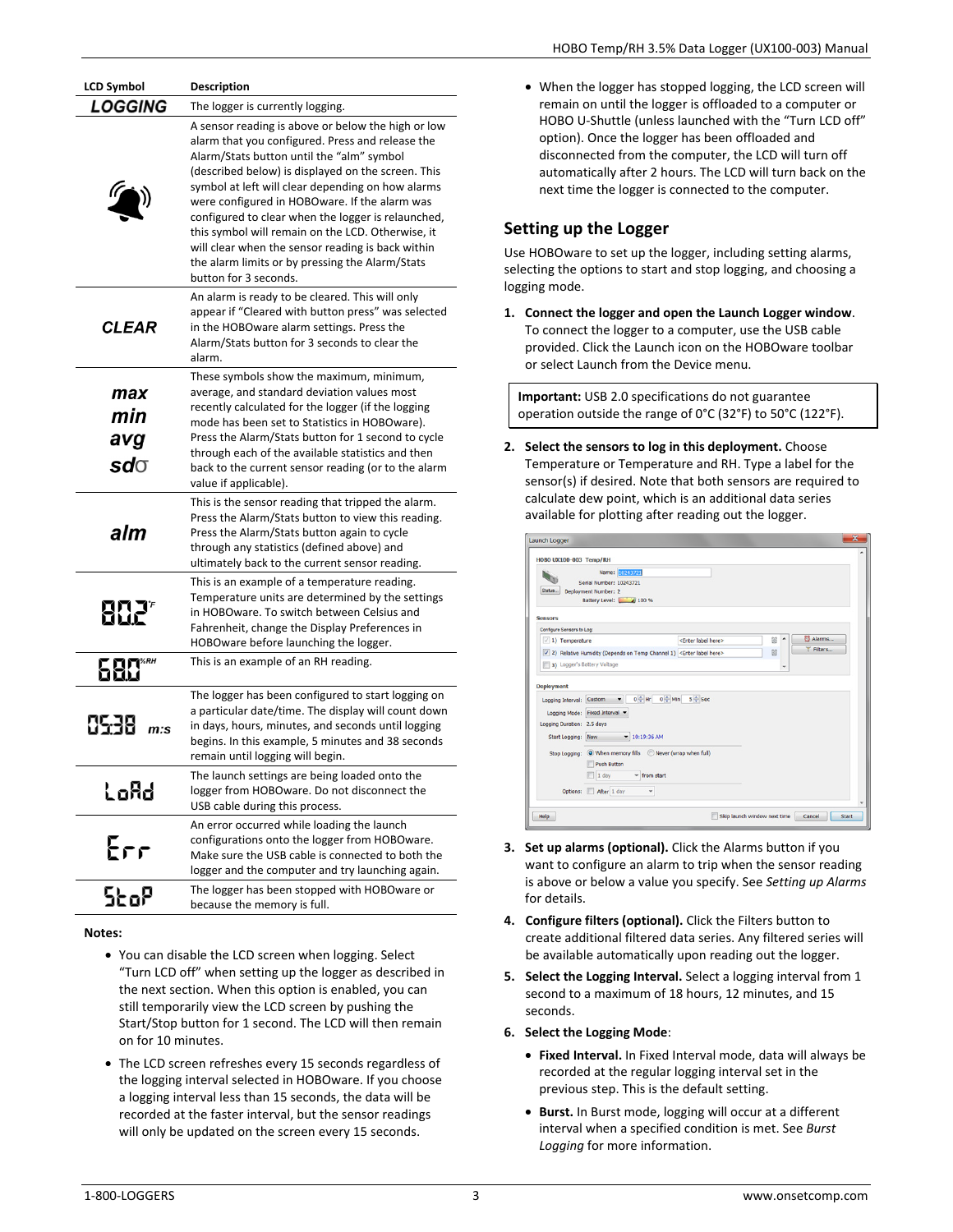| LCD Symbol                      | <b>Description</b>                                                                                                                                                                                                                                                                                                                                                                                                                                                                                                                                          |
|---------------------------------|-------------------------------------------------------------------------------------------------------------------------------------------------------------------------------------------------------------------------------------------------------------------------------------------------------------------------------------------------------------------------------------------------------------------------------------------------------------------------------------------------------------------------------------------------------------|
| <b>LOGGING</b>                  | The logger is currently logging.                                                                                                                                                                                                                                                                                                                                                                                                                                                                                                                            |
|                                 | A sensor reading is above or below the high or low<br>alarm that you configured. Press and release the<br>Alarm/Stats button until the "alm" symbol<br>(described below) is displayed on the screen. This<br>symbol at left will clear depending on how alarms<br>were configured in HOBOware. If the alarm was<br>configured to clear when the logger is relaunched,<br>this symbol will remain on the LCD. Otherwise, it<br>will clear when the sensor reading is back within<br>the alarm limits or by pressing the Alarm/Stats<br>button for 3 seconds. |
| <b>CLEAR</b>                    | An alarm is ready to be cleared. This will only<br>appear if "Cleared with button press" was selected<br>in the HOBOware alarm settings. Press the<br>Alarm/Stats button for 3 seconds to clear the<br>alarm.                                                                                                                                                                                                                                                                                                                                               |
| max<br>min<br>avg<br>$sd\sigma$ | These symbols show the maximum, minimum,<br>average, and standard deviation values most<br>recently calculated for the logger (if the logging<br>mode has been set to Statistics in HOBOware).<br>Press the Alarm/Stats button for 1 second to cycle<br>through each of the available statistics and then<br>back to the current sensor reading (or to the alarm<br>value if applicable).                                                                                                                                                                   |
| alm                             | This is the sensor reading that tripped the alarm.<br>Press the Alarm/Stats button to view this reading.<br>Press the Alarm/Stats button again to cycle<br>through any statistics (defined above) and<br>ultimately back to the current sensor reading.                                                                                                                                                                                                                                                                                                     |
| 8821                            | This is an example of a temperature reading.<br>Temperature units are determined by the settings<br>in HOBOware. To switch between Celsius and<br>Fahrenheit, change the Display Preferences in<br>HOBOware before launching the logger.                                                                                                                                                                                                                                                                                                                    |
| 680                             | This is an example of an RH reading.                                                                                                                                                                                                                                                                                                                                                                                                                                                                                                                        |
| 8538<br>m:s                     | The logger has been configured to start logging on<br>a particular date/time. The display will count down<br>in days, hours, minutes, and seconds until logging<br>begins. In this example, 5 minutes and 38 seconds<br>remain until logging will begin.                                                                                                                                                                                                                                                                                                    |
| LoAd                            | The launch settings are being loaded onto the<br>logger from HOBOware. Do not disconnect the<br>USB cable during this process.                                                                                                                                                                                                                                                                                                                                                                                                                              |
| Err                             | An error occurred while loading the launch<br>configurations onto the logger from HOBOware.<br>Make sure the USB cable is connected to both the<br>logger and the computer and try launching again.                                                                                                                                                                                                                                                                                                                                                         |
| <b>StoP</b>                     | The logger has been stopped with HOBOware or<br>because the memory is full.                                                                                                                                                                                                                                                                                                                                                                                                                                                                                 |

#### **Notes:**

- You can disable the LCD screen when logging. Select "Turn LCD off" when setting up the logger as described in the next section. When this option is enabled, you can still temporarily view the LCD screen by pushing the Start/Stop button for 1 second. The LCD will then remain on for 10 minutes.
- The LCD screen refreshes every 15 seconds regardless of the logging interval selected in HOBOware. If you choose a logging interval less than 15 seconds, the data will be recorded at the faster interval, but the sensor readings will only be updated on the screen every 15 seconds.

• When the logger has stopped logging, the LCD screen will remain on until the logger is offloaded to a computer or HOBO U-Shuttle (unless launched with the "Turn LCD off" option). Once the logger has been offloaded and disconnected from the computer, the LCD will turn off automatically after 2 hours. The LCD will turn back on the next time the logger is connected to the computer.

## **Setting up the Logger**

Use HOBOware to set up the logger, including setting alarms, selecting the options to start and stop logging, and choosing a logging mode.

**1. Connect the logger and open the Launch Logger window**. To connect the logger to a computer, use the USB cable provided. Click the Launch icon on the HOBOware toolbar or select Launch from the Device menu.

**Important:** USB 2.0 specifications do not guarantee operation outside the range of 0°C (32°F) to 50°C (122°F).

**2. Select the sensors to log in this deployment.** Choose Temperature or Temperature and RH. Type a label for the sensor(s) if desired. Note that both sensors are required to calculate dew point, which is an additional data series available for plotting after reading out the logger.

| Name: 10243721<br><b>Serial Number: 10243721</b><br>Status<br>Deployment Number: 2<br>Battery Level: 100 %                                                                                                                                                                                               |                                  |         |                     |
|----------------------------------------------------------------------------------------------------------------------------------------------------------------------------------------------------------------------------------------------------------------------------------------------------------|----------------------------------|---------|---------------------|
| <b>Sensors</b>                                                                                                                                                                                                                                                                                           |                                  |         |                     |
| Configure Sensors to Log:<br>$\vee$ 1) Temperature<br>√ 2) Relative Humidity (Depends on Temp Channel 1) <enter here="" label=""><br/>3) Logger's Battery Voltage</enter>                                                                                                                                | <enter here="" label=""></enter> | ۰<br>88 | & Alarms<br>Filters |
| <b>Deployment</b><br>$0 - Hr$<br>$0 - M$ in<br>Logging Interval: Custom<br>$\bullet$<br>Logging Mode: Fixed Interval<br>Logging Duration: 2.5 days<br>Start Logging: Now<br>$-10:19:36$ AM<br>Stop Logging: (O) When memory fills (C) Never (wrap when full)<br>Push Button<br>$1$ day<br>$-$ from start | $5 - \text{Sec}$                 |         |                     |

- **3. Set up alarms (optional).** Click the Alarms button if you want to configure an alarm to trip when the sensor reading is above or below a value you specify. See *Setting up Alarms* for details.
- **4. Configure filters (optional).** Click the Filters button to create additional filtered data series. Any filtered series will be available automatically upon reading out the logger.
- **5. Select the Logging Interval.** Select a logging interval from 1 second to a maximum of 18 hours, 12 minutes, and 15 seconds.
- **6. Select the Logging Mode**:
	- **Fixed Interval.** In Fixed Interval mode, data will always be recorded at the regular logging interval set in the previous step. This is the default setting.
	- **Burst.** In Burst mode, logging will occur at a different interval when a specified condition is met. See *Burst Logging* for more information.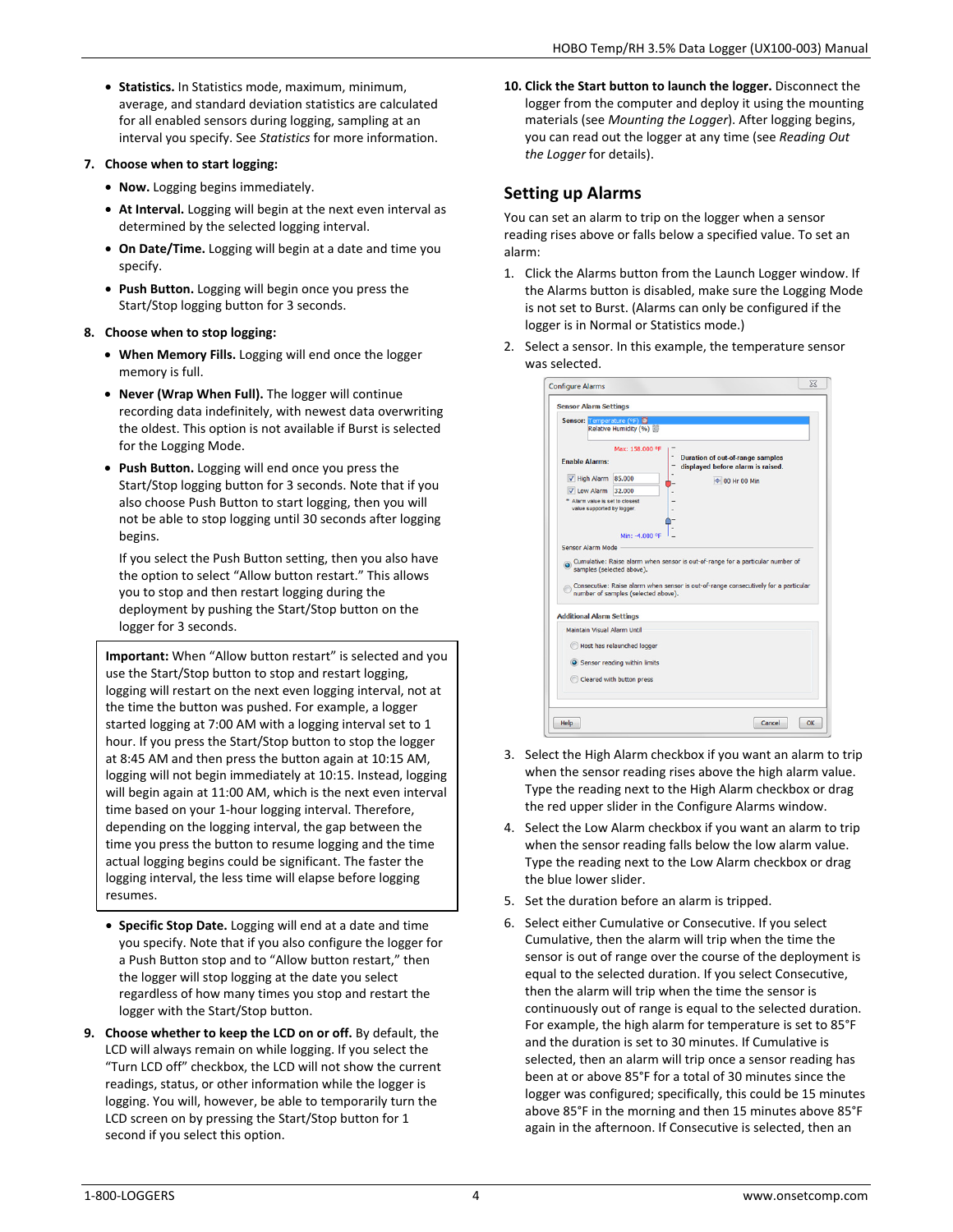• **Statistics.** In Statistics mode, maximum, minimum, average, and standard deviation statistics are calculated for all enabled sensors during logging, sampling at an interval you specify. See *Statistics* for more information.

#### **7. Choose when to start logging:**

- **Now.** Logging begins immediately.
- **At Interval.** Logging will begin at the next even interval as determined by the selected logging interval.
- **On Date/Time.** Logging will begin at a date and time you specify.
- **Push Button.** Logging will begin once you press the Start/Stop logging button for 3 seconds.
- **8. Choose when to stop logging:** 
	- **When Memory Fills.** Logging will end once the logger memory is full.
	- **Never (Wrap When Full).** The logger will continue recording data indefinitely, with newest data overwriting the oldest. This option is not available if Burst is selected for the Logging Mode.
	- **Push Button.** Logging will end once you press the Start/Stop logging button for 3 seconds. Note that if you also choose Push Button to start logging, then you will not be able to stop logging until 30 seconds after logging begins.

If you select the Push Button setting, then you also have the option to select "Allow button restart." This allows you to stop and then restart logging during the deployment by pushing the Start/Stop button on the logger for 3 seconds.

**Important:** When "Allow button restart" is selected and you use the Start/Stop button to stop and restart logging, logging will restart on the next even logging interval, not at the time the button was pushed. For example, a logger started logging at 7:00 AM with a logging interval set to 1 hour. If you press the Start/Stop button to stop the logger at 8:45 AM and then press the button again at 10:15 AM, logging will not begin immediately at 10:15. Instead, logging will begin again at 11:00 AM, which is the next even interval time based on your 1-hour logging interval. Therefore, depending on the logging interval, the gap between the time you press the button to resume logging and the time actual logging begins could be significant. The faster the logging interval, the less time will elapse before logging resumes.

- **Specific Stop Date.** Logging will end at a date and time you specify. Note that if you also configure the logger for a Push Button stop and to "Allow button restart," then the logger will stop logging at the date you select regardless of how many times you stop and restart the logger with the Start/Stop button.
- **9. Choose whether to keep the LCD on or off.** By default, the LCD will always remain on while logging. If you select the "Turn LCD off" checkbox, the LCD will not show the current readings, status, or other information while the logger is logging. You will, however, be able to temporarily turn the LCD screen on by pressing the Start/Stop button for 1 second if you select this option.

**10. Click the Start button to launch the logger.** Disconnect the logger from the computer and deploy it using the mounting materials (see *Mounting the Logger*). After logging begins, you can read out the logger at any time (see *Reading Out the Logger* for details).

## **Setting up Alarms**

You can set an alarm to trip on the logger when a sensor reading rises above or falls below a specified value. To set an alarm:

- 1. Click the Alarms button from the Launch Logger window. If the Alarms button is disabled, make sure the Logging Mode is not set to Burst. (Alarms can only be configured if the logger is in Normal or Statistics mode.)
- 2. Select a sensor. In this example, the temperature sensor was selected.

| <b>Sensor Alarm Settings</b>                                                                          |                                     |                                                                                                |
|-------------------------------------------------------------------------------------------------------|-------------------------------------|------------------------------------------------------------------------------------------------|
| Sensor: Temperature (°F) 5                                                                            | Relative Humidity (%)               |                                                                                                |
| <b>Enable Alarms:</b><br>V High Alarm 85.000<br>V Low Alarm 32.000<br>* Alarm value is set to closest | Max: 158,000 °F                     | <b>Duration of out-of-range samples</b><br>displayed before alarm is raised.<br>+ 00 Hr 00 Min |
| value supported by logger.<br>Sensor Alarm Mode                                                       | Min: -4,000 °F                      |                                                                                                |
| samples (selected above).                                                                             |                                     | Cumulative: Raise alarm when sensor is out-of-range for a particular number of                 |
|                                                                                                       | number of samples (selected above). | Consecutive: Raise alarm when sensor is out-of-range consecutively for a particular            |
| Maintain Visual Alarm Until                                                                           |                                     |                                                                                                |
|                                                                                                       | Host has relaunched logger          |                                                                                                |
| <b>Additional Alarm Settings</b>                                                                      | Sensor reading within limits        |                                                                                                |
|                                                                                                       | Cleared with button press           |                                                                                                |

- 3. Select the High Alarm checkbox if you want an alarm to trip when the sensor reading rises above the high alarm value. Type the reading next to the High Alarm checkbox or drag the red upper slider in the Configure Alarms window.
- 4. Select the Low Alarm checkbox if you want an alarm to trip when the sensor reading falls below the low alarm value. Type the reading next to the Low Alarm checkbox or drag the blue lower slider.
- 5. Set the duration before an alarm is tripped.
- 6. Select either Cumulative or Consecutive. If you select Cumulative, then the alarm will trip when the time the sensor is out of range over the course of the deployment is equal to the selected duration. If you select Consecutive, then the alarm will trip when the time the sensor is continuously out of range is equal to the selected duration. For example, the high alarm for temperature is set to 85°F and the duration is set to 30 minutes. If Cumulative is selected, then an alarm will trip once a sensor reading has been at or above 85°F for a total of 30 minutes since the logger was configured; specifically, this could be 15 minutes above 85°F in the morning and then 15 minutes above 85°F again in the afternoon. If Consecutive is selected, then an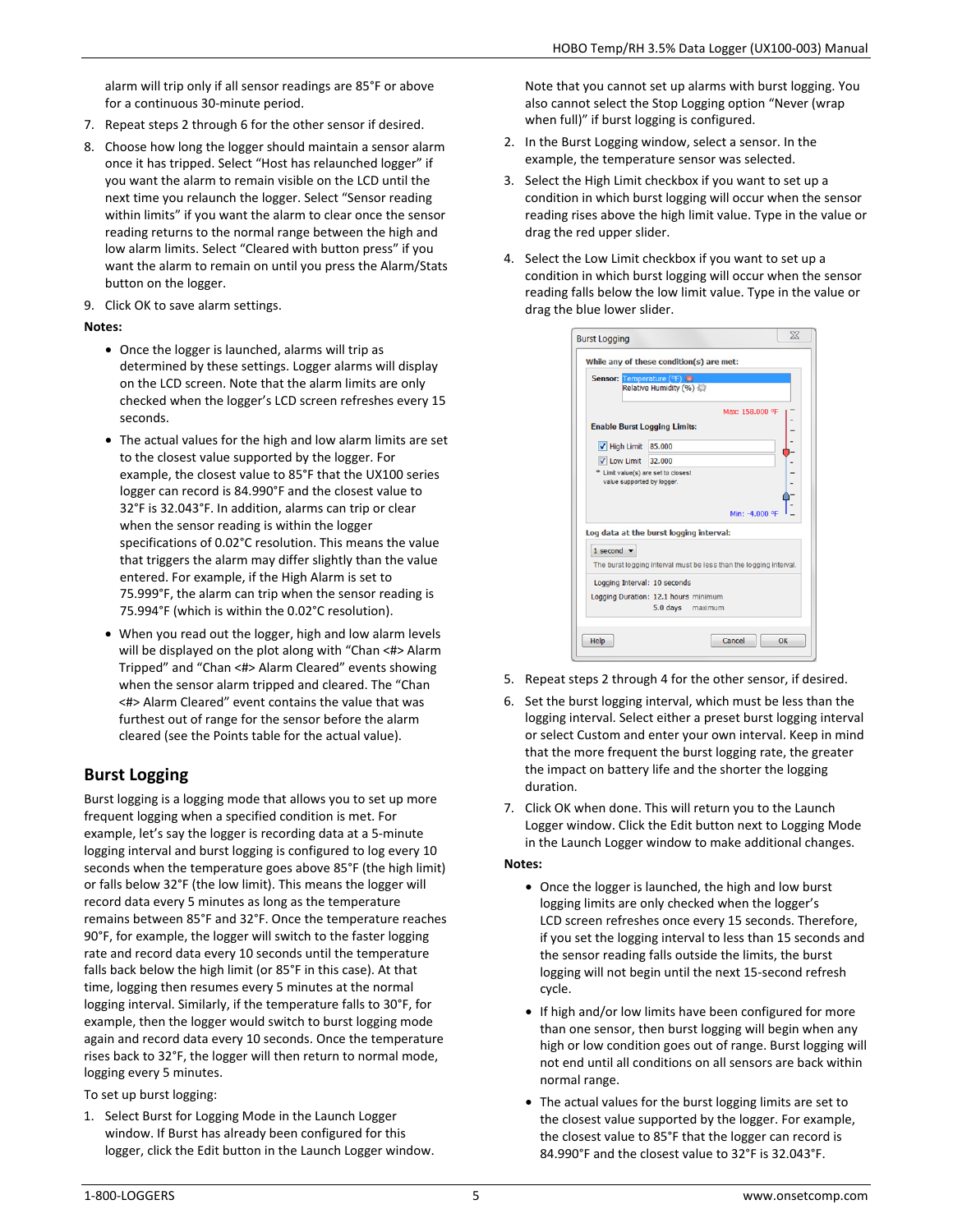alarm will trip only if all sensor readings are 85°F or above for a continuous 30-minute period.

- 7. Repeat steps 2 through 6 for the other sensor if desired.
- 8. Choose how long the logger should maintain a sensor alarm once it has tripped. Select "Host has relaunched logger" if you want the alarm to remain visible on the LCD until the next time you relaunch the logger. Select "Sensor reading within limits" if you want the alarm to clear once the sensor reading returns to the normal range between the high and low alarm limits. Select "Cleared with button press" if you want the alarm to remain on until you press the Alarm/Stats button on the logger.
- 9. Click OK to save alarm settings.

### **Notes:**

- Once the logger is launched, alarms will trip as determined by these settings. Logger alarms will display on the LCD screen. Note that the alarm limits are only checked when the logger's LCD screen refreshes every 15 seconds.
- The actual values for the high and low alarm limits are set to the closest value supported by the logger. For example, the closest value to 85°F that the UX100 series logger can record is 84.990°F and the closest value to 32°F is 32.043°F. In addition, alarms can trip or clear when the sensor reading is within the logger specifications of 0.02°C resolution. This means the value that triggers the alarm may differ slightly than the value entered. For example, if the High Alarm is set to 75.999°F, the alarm can trip when the sensor reading is 75.994°F (which is within the 0.02°C resolution).
- When you read out the logger, high and low alarm levels will be displayed on the plot along with "Chan <#> Alarm Tripped" and "Chan <#> Alarm Cleared" events showing when the sensor alarm tripped and cleared. The "Chan <#> Alarm Cleared" event contains the value that was furthest out of range for the sensor before the alarm cleared (see the Points table for the actual value).

## **Burst Logging**

Burst logging is a logging mode that allows you to set up more frequent logging when a specified condition is met. For example, let's say the logger is recording data at a 5-minute logging interval and burst logging is configured to log every 10 seconds when the temperature goes above 85°F (the high limit) or falls below 32°F (the low limit). This means the logger will record data every 5 minutes as long as the temperature remains between 85°F and 32°F. Once the temperature reaches 90°F, for example, the logger will switch to the faster logging rate and record data every 10 seconds until the temperature falls back below the high limit (or 85°F in this case). At that time, logging then resumes every 5 minutes at the normal logging interval. Similarly, if the temperature falls to 30°F, for example, then the logger would switch to burst logging mode again and record data every 10 seconds. Once the temperature rises back to 32°F, the logger will then return to normal mode, logging every 5 minutes.

To set up burst logging:

1. Select Burst for Logging Mode in the Launch Logger window. If Burst has already been configured for this logger, click the Edit button in the Launch Logger window. Note that you cannot set up alarms with burst logging. You also cannot select the Stop Logging option "Never (wrap when full)" if burst logging is configured.

- 2. In the Burst Logging window, select a sensor. In the example, the temperature sensor was selected.
- 3. Select the High Limit checkbox if you want to set up a condition in which burst logging will occur when the sensor reading rises above the high limit value. Type in the value or drag the red upper slider.
- 4. Select the Low Limit checkbox if you want to set up a condition in which burst logging will occur when the sensor reading falls below the low limit value. Type in the value or drag the blue lower slider.

| Sensor: Temperature (°F)                                                                         | Relative Humidity (%)                                              |
|--------------------------------------------------------------------------------------------------|--------------------------------------------------------------------|
|                                                                                                  | Max: 158,000 °F                                                    |
| <b>Enable Burst Logging Limits:</b>                                                              |                                                                    |
| V High Limit 85.000                                                                              |                                                                    |
|                                                                                                  |                                                                    |
| $\sqrt{2}$ Low Limit 32.000<br>* Limit value(s) are set to closest<br>value supported by logger. | Min: -4,000 °F                                                     |
|                                                                                                  | Log data at the burst logging interval:                            |
| 1 second $\blacktriangledown$                                                                    |                                                                    |
|                                                                                                  | The burst logging interval must be less than the logging interval. |
| Logging Interval: 10 seconds                                                                     |                                                                    |
|                                                                                                  | Logging Duration: 12.1 hours minimum                               |

- 5. Repeat steps 2 through 4 for the other sensor, if desired.
- 6. Set the burst logging interval, which must be less than the logging interval. Select either a preset burst logging interval or select Custom and enter your own interval. Keep in mind that the more frequent the burst logging rate, the greater the impact on battery life and the shorter the logging duration.
- 7. Click OK when done. This will return you to the Launch Logger window. Click the Edit button next to Logging Mode in the Launch Logger window to make additional changes.

### **Notes:**

- Once the logger is launched, the high and low burst logging limits are only checked when the logger's LCD screen refreshes once every 15 seconds. Therefore, if you set the logging interval to less than 15 seconds and the sensor reading falls outside the limits, the burst logging will not begin until the next 15-second refresh cycle.
- If high and/or low limits have been configured for more than one sensor, then burst logging will begin when any high or low condition goes out of range. Burst logging will not end until all conditions on all sensors are back within normal range.
- The actual values for the burst logging limits are set to the closest value supported by the logger. For example, the closest value to 85°F that the logger can record is 84.990°F and the closest value to 32°F is 32.043°F.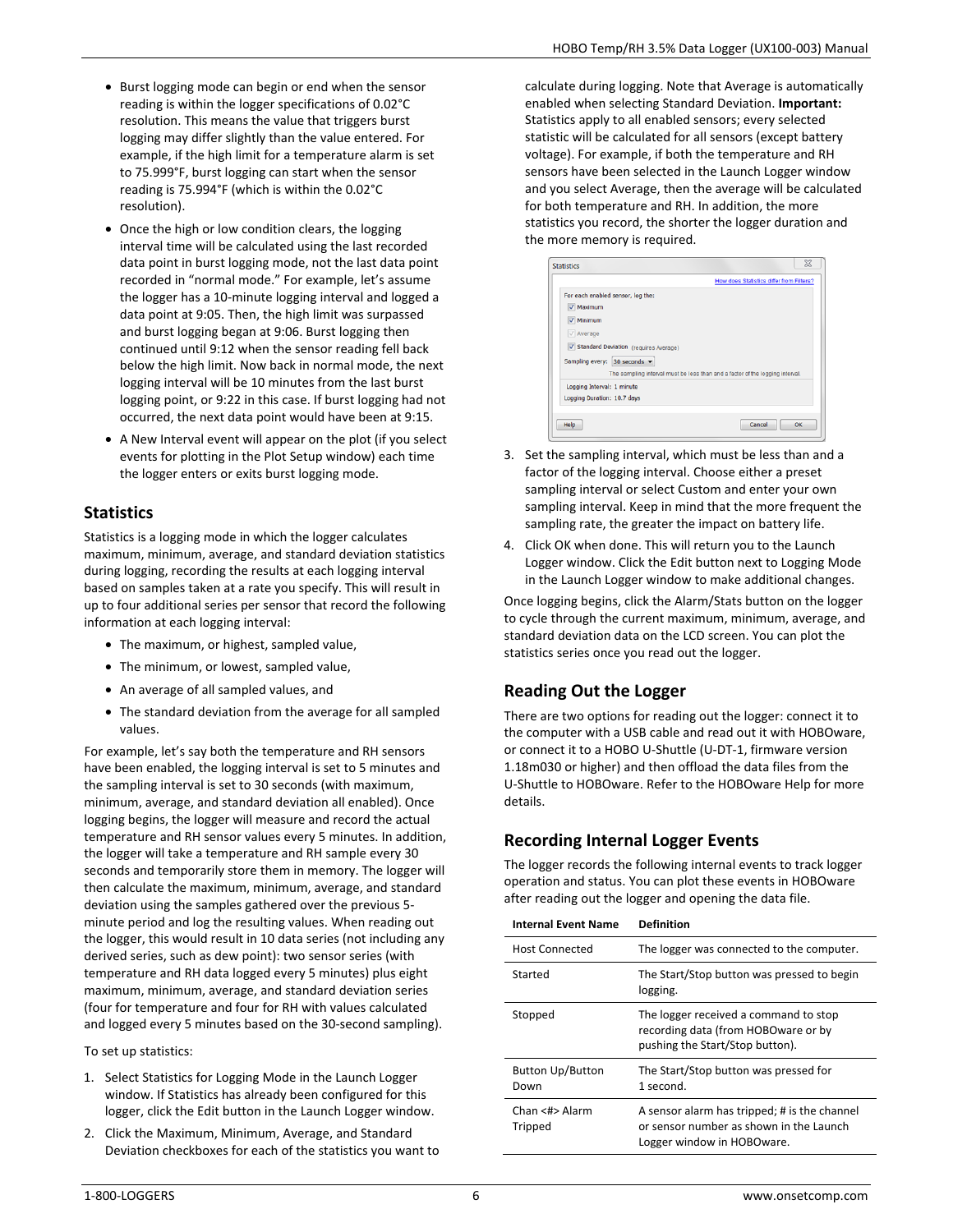- Burst logging mode can begin or end when the sensor reading is within the logger specifications of 0.02°C resolution. This means the value that triggers burst logging may differ slightly than the value entered. For example, if the high limit for a temperature alarm is set to 75.999°F, burst logging can start when the sensor reading is 75.994°F (which is within the 0.02°C resolution).
- Once the high or low condition clears, the logging interval time will be calculated using the last recorded data point in burst logging mode, not the last data point recorded in "normal mode." For example, let's assume the logger has a 10-minute logging interval and logged a data point at 9:05. Then, the high limit was surpassed and burst logging began at 9:06. Burst logging then continued until 9:12 when the sensor reading fell back below the high limit. Now back in normal mode, the next logging interval will be 10 minutes from the last burst logging point, or 9:22 in this case. If burst logging had not occurred, the next data point would have been at 9:15.
- A New Interval event will appear on the plot (if you select events for plotting in the Plot Setup window) each time the logger enters or exits burst logging mode.

## **Statistics**

Statistics is a logging mode in which the logger calculates maximum, minimum, average, and standard deviation statistics during logging, recording the results at each logging interval based on samples taken at a rate you specify. This will result in up to four additional series per sensor that record the following information at each logging interval:

- The maximum, or highest, sampled value,
- The minimum, or lowest, sampled value,
- An average of all sampled values, and
- The standard deviation from the average for all sampled values.

For example, let's say both the temperature and RH sensors have been enabled, the logging interval is set to 5 minutes and the sampling interval is set to 30 seconds (with maximum, minimum, average, and standard deviation all enabled). Once logging begins, the logger will measure and record the actual temperature and RH sensor values every 5 minutes. In addition, the logger will take a temperature and RH sample every 30 seconds and temporarily store them in memory. The logger will then calculate the maximum, minimum, average, and standard deviation using the samples gathered over the previous 5 minute period and log the resulting values. When reading out the logger, this would result in 10 data series (not including any derived series, such as dew point): two sensor series (with temperature and RH data logged every 5 minutes) plus eight maximum, minimum, average, and standard deviation series (four for temperature and four for RH with values calculated and logged every 5 minutes based on the 30-second sampling).

To set up statistics:

- 1. Select Statistics for Logging Mode in the Launch Logger window. If Statistics has already been configured for this logger, click the Edit button in the Launch Logger window.
- 2. Click the Maximum, Minimum, Average, and Standard Deviation checkboxes for each of the statistics you want to

calculate during logging. Note that Average is automatically enabled when selecting Standard Deviation. **Important:** Statistics apply to all enabled sensors; every selected statistic will be calculated for all sensors (except battery voltage). For example, if both the temperature and RH sensors have been selected in the Launch Logger window and you select Average, then the average will be calculated for both temperature and RH. In addition, the more statistics you record, the shorter the logger duration and the more memory is required.

|                                         | How does Statistics differ from Filters?                                      |
|-----------------------------------------|-------------------------------------------------------------------------------|
|                                         |                                                                               |
| For each enabled sensor, log the:       |                                                                               |
| V Maximum                               |                                                                               |
| $\sqrt{}$ Minimum                       |                                                                               |
|                                         |                                                                               |
| $\sqrt{\phantom{a}}$ Average            |                                                                               |
| V Standard Deviation (requires Average) |                                                                               |
| Sampling every: 30 seconds ▼            |                                                                               |
|                                         |                                                                               |
|                                         | The sampling interval must be less than and a factor of the logging interval. |
| Logging Interval: 1 minute              |                                                                               |
| Logging Duration: 10.7 days             |                                                                               |
|                                         |                                                                               |
|                                         |                                                                               |

- 3. Set the sampling interval, which must be less than and a factor of the logging interval. Choose either a preset sampling interval or select Custom and enter your own sampling interval. Keep in mind that the more frequent the sampling rate, the greater the impact on battery life.
- 4. Click OK when done. This will return you to the Launch Logger window. Click the Edit button next to Logging Mode in the Launch Logger window to make additional changes.

Once logging begins, click the Alarm/Stats button on the logger to cycle through the current maximum, minimum, average, and standard deviation data on the LCD screen. You can plot the statistics series once you read out the logger.

## **Reading Out the Logger**

There are two options for reading out the logger: connect it to the computer with a USB cable and read out it with HOBOware, or connect it to a HOBO U-Shuttle (U-DT-1, firmware version 1.18m030 or higher) and then offload the data files from the U-Shuttle to HOBOware. Refer to the HOBOware Help for more details.

## **Recording Internal Logger Events**

The logger records the following internal events to track logger operation and status. You can plot these events in HOBOware after reading out the logger and opening the data file.

| <b>Internal Event Name</b>      | <b>Definition</b>                                                                                                     |
|---------------------------------|-----------------------------------------------------------------------------------------------------------------------|
| Host Connected                  | The logger was connected to the computer.                                                                             |
| Started                         | The Start/Stop button was pressed to begin<br>logging.                                                                |
| Stopped                         | The logger received a command to stop<br>recording data (from HOBOware or by<br>pushing the Start/Stop button).       |
| <b>Button Up/Button</b><br>Down | The Start/Stop button was pressed for<br>1 second.                                                                    |
| Chan <#> Alarm<br>Tripped       | A sensor alarm has tripped; # is the channel<br>or sensor number as shown in the Launch<br>Logger window in HOBOware. |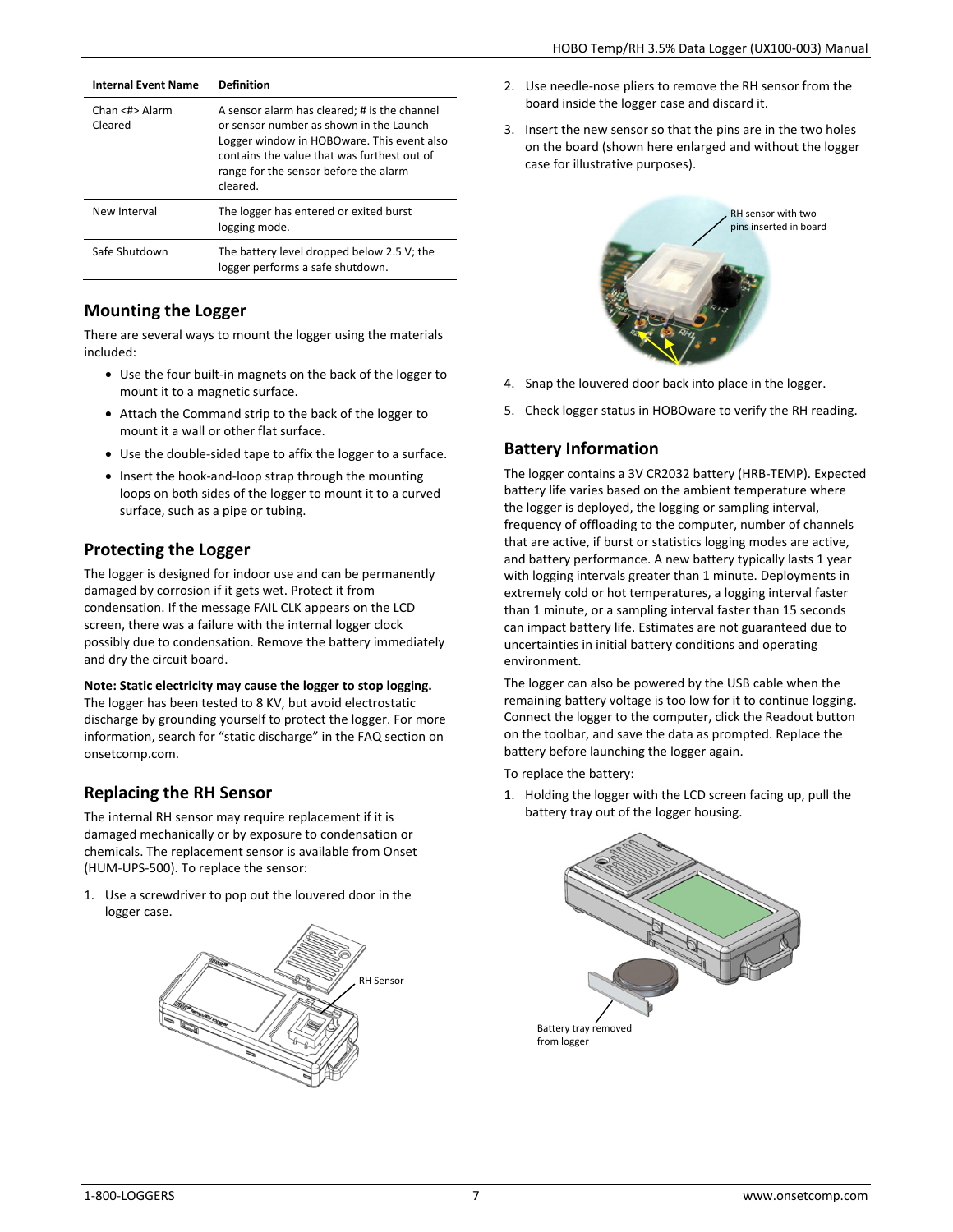| <b>Internal Fyent Name</b> | <b>Definition</b>                                                                                                                                                                                                                         |
|----------------------------|-------------------------------------------------------------------------------------------------------------------------------------------------------------------------------------------------------------------------------------------|
| Chan <#>Alarm<br>Cleared   | A sensor alarm has cleared; # is the channel<br>or sensor number as shown in the Launch<br>Logger window in HOBOware. This event also<br>contains the value that was furthest out of<br>range for the sensor before the alarm<br>cleared. |
| New Interval               | The logger has entered or exited burst<br>logging mode.                                                                                                                                                                                   |
| Safe Shutdown              | The battery level dropped below 2.5 V; the<br>logger performs a safe shutdown.                                                                                                                                                            |

### **Mounting the Logger**

There are several ways to mount the logger using the materials included:

- Use the four built-in magnets on the back of the logger to mount it to a magnetic surface.
- Attach the Command strip to the back of the logger to mount it a wall or other flat surface.
- Use the double-sided tape to affix the logger to a surface.
- Insert the hook-and-loop strap through the mounting loops on both sides of the logger to mount it to a curved surface, such as a pipe or tubing.

### **Protecting the Logger**

The logger is designed for indoor use and can be permanently damaged by corrosion if it gets wet. Protect it from condensation. If the message FAIL CLK appears on the LCD screen, there was a failure with the internal logger clock possibly due to condensation. Remove the battery immediately and dry the circuit board.

### **Note: Static electricity may cause the logger to stop logging.**

The logger has been tested to 8 KV, but avoid electrostatic discharge by grounding yourself to protect the logger. For more information, search for "static discharge" in the FAQ section on onsetcomp.com.

### **Replacing the RH Sensor**

The internal RH sensor may require replacement if it is damaged mechanically or by exposure to condensation or chemicals. The replacement sensor is available from Onset (HUM-UPS-500). To replace the sensor:

1. Use a screwdriver to pop out the louvered door in the logger case.



- 2. Use needle-nose pliers to remove the RH sensor from the board inside the logger case and discard it.
- 3. Insert the new sensor so that the pins are in the two holes on the board (shown here enlarged and without the logger case for illustrative purposes).



- 4. Snap the louvered door back into place in the logger.
- 5. Check logger status in HOBOware to verify the RH reading.

## **Battery Information**

The logger contains a 3V CR2032 battery (HRB-TEMP). Expected battery life varies based on the ambient temperature where the logger is deployed, the logging or sampling interval, frequency of offloading to the computer, number of channels that are active, if burst or statistics logging modes are active, and battery performance. A new battery typically lasts 1 year with logging intervals greater than 1 minute. Deployments in extremely cold or hot temperatures, a logging interval faster than 1 minute, or a sampling interval faster than 15 seconds can impact battery life. Estimates are not guaranteed due to uncertainties in initial battery conditions and operating environment.

The logger can also be powered by the USB cable when the remaining battery voltage is too low for it to continue logging. Connect the logger to the computer, click the Readout button on the toolbar, and save the data as prompted. Replace the battery before launching the logger again.

To replace the battery:

1. Holding the logger with the LCD screen facing up, pull the battery tray out of the logger housing.